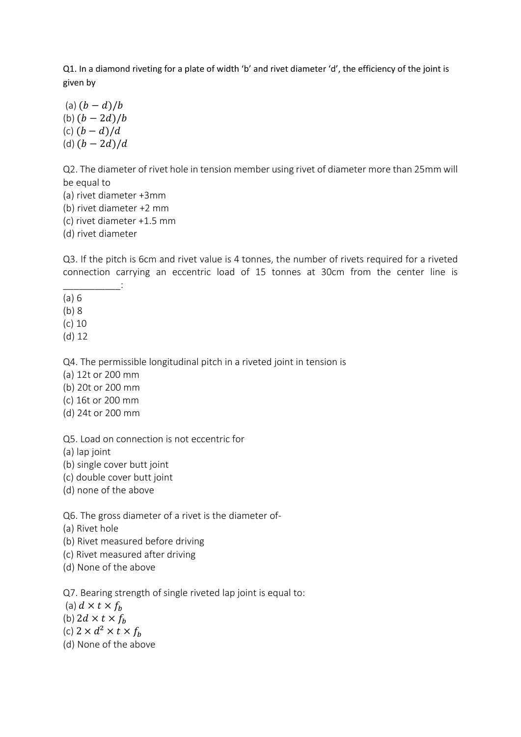Q1. In a diamond riveting for a plate of width 'b' and rivet diameter 'd', the efficiency of the joint is given by

(a)  $(b - d)/b$ (b)  $(b - 2d)/b$ (c)  $(b - d)/d$ (d)  $(b - 2d)/d$ 

Q2. The diameter of rivet hole in tension member using rivet of diameter more than 25mm will be equal to

- (a) rivet diameter +3mm
- (b) rivet diameter +2 mm

 $\sim$  .

- (c) rivet diameter +1.5 mm
- (d) rivet diameter

Q3. If the pitch is 6cm and rivet value is 4 tonnes, the number of rivets required for a riveted connection carrying an eccentric load of 15 tonnes at 30cm from the center line is

- (a) 6
- (b) 8
- (c) 10
- (d) 12

Q4. The permissible longitudinal pitch in a riveted joint in tension is

- (a) 12t or 200 mm
- (b) 20t or 200 mm
- (c) 16t or 200 mm
- (d) 24t or 200 mm

Q5. Load on connection is not eccentric for

(a) lap joint

- (b) single cover butt joint
- (c) double cover butt joint
- (d) none of the above

Q6. The gross diameter of a rivet is the diameter of-

- (a) Rivet hole
- (b) Rivet measured before driving
- (c) Rivet measured after driving
- (d) None of the above

Q7. Bearing strength of single riveted lap joint is equal to:

- (a)  $d \times t \times f_b$
- (b)  $2d \times t \times f_h$
- (c)  $2 \times d^2 \times t \times f_h$
- (d) None of the above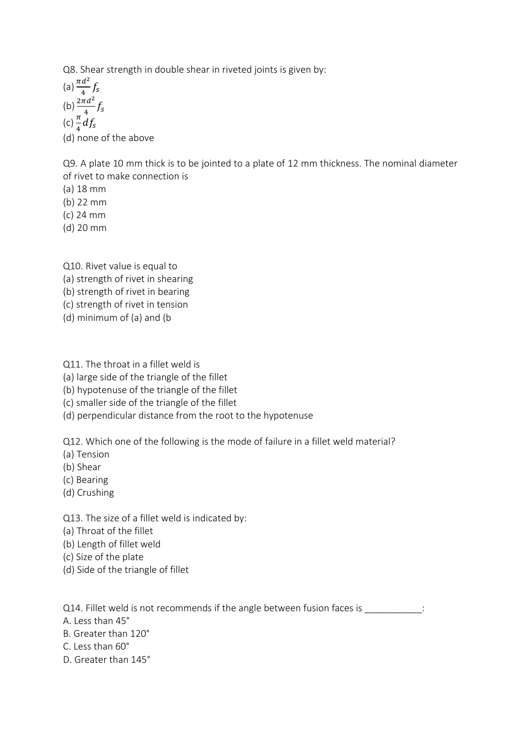Q8. Shear strength in double shear in riveted joints is given by:

(a)  $\frac{\pi d^2}{4}$  $\frac{a}{4}f_s$ (b)  $\frac{2\pi d^2}{4}$  $rac{u}{4}f_s$ (c)  $\frac{\pi}{4}df_s$ (d) none of the above

Q9. A plate 10 mm thick is to be jointed to a plate of 12 mm thickness. The nominal diameter of rivet to make connection is

(a) 18 mm

(b) 22 mm

(c) 24 mm

(d) 20 mm

Q10. Rivet value is equal to (a) strength of rivet in shearing (b) strength of rivet in bearing (c) strength of rivet in tension (d) minimum of (a) and (b

Q11. The throat in a fillet weld is

(a) large side of the triangle of the fillet

(b) hypotenuse of the triangle of the fillet

(c) smaller side of the triangle of the fillet

(d) perpendicular distance from the root to the hypotenuse

Q12. Which one of the following is the mode of failure in a fillet weld material?

(a) Tension

(b) Shear

(c) Bearing

(d) Crushing

Q13. The size of a fillet weld is indicated by:

(a) Throat of the fillet

(b) Length of fillet weld

(c) Size of the plate

(d) Side of the triangle of fillet

Q14. Fillet weld is not recommends if the angle between fusion faces is  $\cdot$ 

A. Less than 45°

B. Greater than 120°

C. Less than 60°

D. Greater than 145°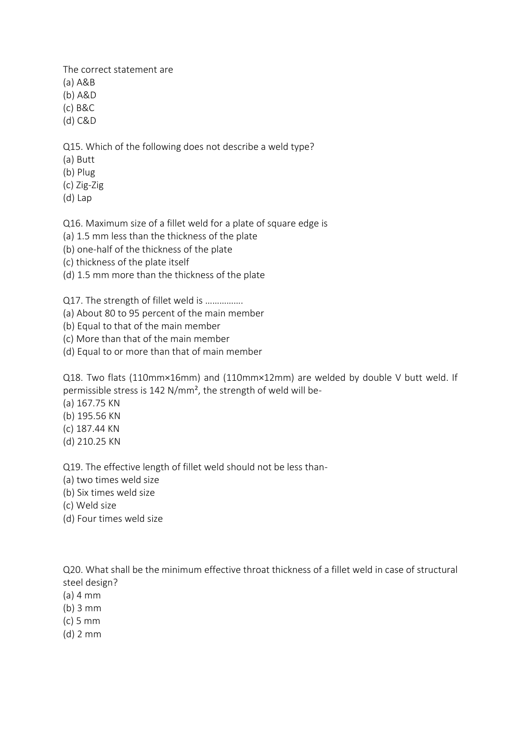The correct statement are

- (a) A&B
- (b) A&D
- (c) B&C
- (d) C&D

Q15. Which of the following does not describe a weld type?

- (a) Butt
- (b) Plug
- (c) Zig-Zig
- (d) Lap

Q16. Maximum size of a fillet weld for a plate of square edge is

- (a) 1.5 mm less than the thickness of the plate
- (b) one-half of the thickness of the plate
- (c) thickness of the plate itself
- (d) 1.5 mm more than the thickness of the plate

Q17. The strength of fillet weld is ................

- (a) About 80 to 95 percent of the main member
- (b) Equal to that of the main member
- (c) More than that of the main member
- (d) Equal to or more than that of main member

Q18. Two flats (110mm×16mm) and (110mm×12mm) are welded by double V butt weld. If permissible stress is 142 N/mm², the strength of weld will be-

- (a) 167.75 KN
- (b) 195.56 KN
- (c) 187.44 KN
- (d) 210.25 KN

Q19. The effective length of fillet weld should not be less than-

- (a) two times weld size
- (b) Six times weld size
- (c) Weld size
- (d) Four times weld size

Q20. What shall be the minimum effective throat thickness of a fillet weld in case of structural steel design?

- (a) 4 mm
- (b) 3 mm
- (c) 5 mm
- (d) 2 mm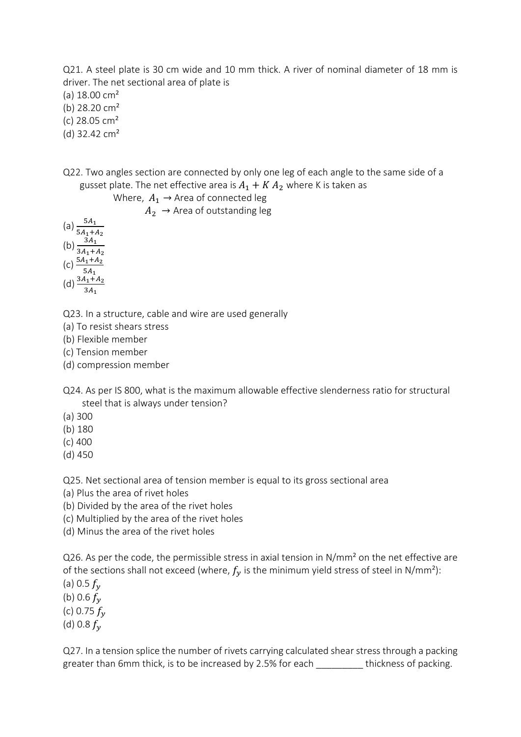Q21. A steel plate is 30 cm wide and 10 mm thick. A river of nominal diameter of 18 mm is driver. The net sectional area of plate is

(a) 18.00 cm²

(b) 28.20 cm²

(c) 28.05 cm²

(d) 32.42 cm²

Q22. Two angles section are connected by only one leg of each angle to the same side of a gusset plate. The net effective area is  $A_1 + K A_2$  where K is taken as

Where,  $A_1 \rightarrow$  Area of connected leg

 $A_2 \rightarrow$  Area of outstanding leg

(a)  $\frac{5A_1}{5A_1+A_2}$ (b)  $\frac{3A_1}{3A_1+A_2}$ (c)  $\frac{5A_1 + A_2}{5A_1}$ 

(d)  $\frac{3A_1 + A_2}{3A_1}$ 

Q23. In a structure, cable and wire are used generally

(a) To resist shears stress

(b) Flexible member

(c) Tension member

(d) compression member

Q24. As per IS 800, what is the maximum allowable effective slenderness ratio for structural steel that is always under tension?

(a) 300

(b) 180

(c) 400

(d) 450

Q25. Net sectional area of tension member is equal to its gross sectional area

(a) Plus the area of rivet holes

(b) Divided by the area of the rivet holes

(c) Multiplied by the area of the rivet holes

(d) Minus the area of the rivet holes

Q26. As per the code, the permissible stress in axial tension in N/mm² on the net effective are of the sections shall not exceed (where,  $f_v$  is the minimum yield stress of steel in N/mm<sup>2</sup>):

(a) 0.5  $f_v$ (b) 0.6  $f_v$ 

(c) 0.75  $f_v$ 

(d) 0.8  $f_v$ 

Q27. In a tension splice the number of rivets carrying calculated shear stress through a packing greater than 6mm thick, is to be increased by 2.5% for each thickness of packing.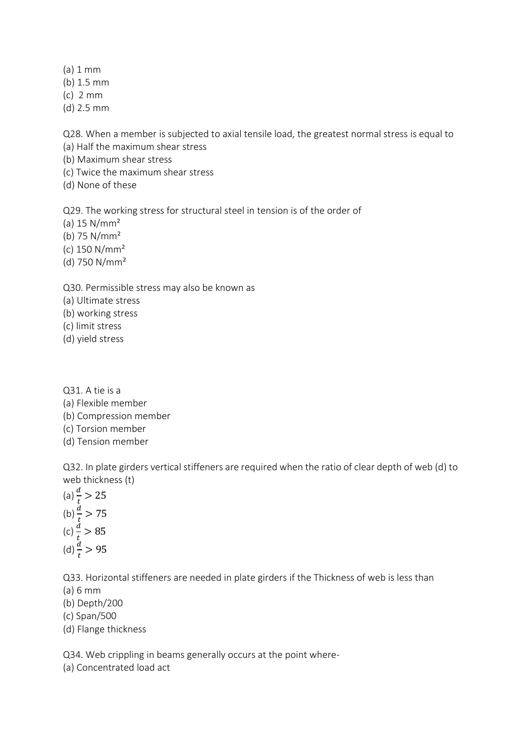(a) 1 mm

- (b) 1.5 mm
- (c) 2 mm
- (d) 2.5 mm

Q28. When a member is subjected to axial tensile load, the greatest normal stress is equal to

- (a) Half the maximum shear stress
- (b) Maximum shear stress
- (c) Twice the maximum shear stress
- (d) None of these

Q29. The working stress for structural steel in tension is of the order of

- (a) 15 N/mm²
- (b) 75 N/mm²
- (c) 150 N/mm²
- (d) 750 N/mm²

# Q30. Permissible stress may also be known as

- (a) Ultimate stress
- (b) working stress
- (c) limit stress
- (d) yield stress
- Q31. A tie is a
- (a) Flexible member
- (b) Compression member
- (c) Torsion member
- (d) Tension member

Q32. In plate girders vertical stiffeners are required when the ratio of clear depth of web (d) to web thickness (t)

(a)  $\frac{d}{t} > 25$ (b)  $\frac{d}{t} > 75$ (c)  $\frac{d}{t} > 85$ (d)  $\frac{d}{t} > 95$ 

Q33. Horizontal stiffeners are needed in plate girders if the Thickness of web is less than

- (a) 6 mm
- (b) Depth/200
- (c) Span/500
- (d) Flange thickness

Q34. Web crippling in beams generally occurs at the point where-

(a) Concentrated load act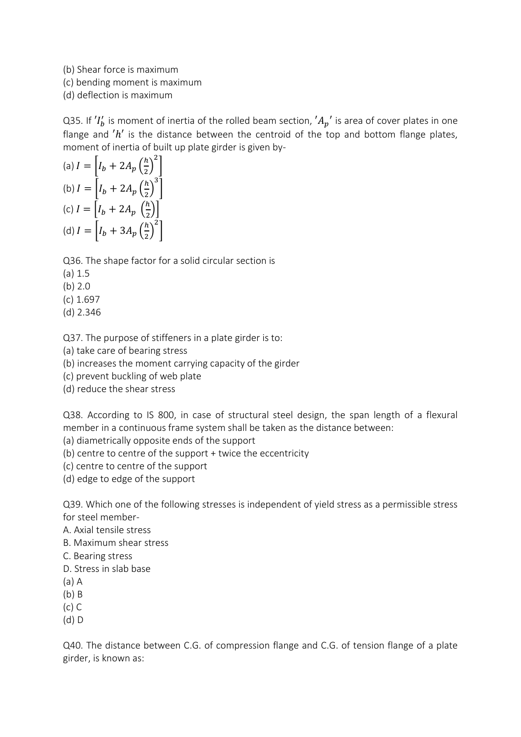(b) Shear force is maximum

(c) bending moment is maximum

(d) deflection is maximum

Q35. If  $'I_b'$  is moment of inertia of the rolled beam section,  $'A_p'$  is area of cover plates in one flange and  $'h'$  is the distance between the centroid of the top and bottom flange plates, moment of inertia of built up plate girder is given by-

(a) 
$$
I = \left[I_b + 2A_p \left(\frac{h}{2}\right)^2\right]
$$
  
\n(b)  $I = \left[I_b + 2A_p \left(\frac{h}{2}\right)^3\right]$   
\n(c)  $I = \left[I_b + 2A_p \left(\frac{h}{2}\right)\right]$   
\n(d)  $I = \left[I_b + 3A_p \left(\frac{h}{2}\right)^2\right]$ 

Q36. The shape factor for a solid circular section is

- (a) 1.5
- (b) 2.0
- (c) 1.697
- (d) 2.346

Q37. The purpose of stiffeners in a plate girder is to:

(a) take care of bearing stress

(b) increases the moment carrying capacity of the girder

(c) prevent buckling of web plate

(d) reduce the shear stress

Q38. According to IS 800, in case of structural steel design, the span length of a flexural member in a continuous frame system shall be taken as the distance between:

(a) diametrically opposite ends of the support

- (b) centre to centre of the support + twice the eccentricity
- (c) centre to centre of the support
- (d) edge to edge of the support

Q39. Which one of the following stresses is independent of yield stress as a permissible stress for steel member-

A. Axial tensile stress

B. Maximum shear stress

C. Bearing stress

D. Stress in slab base

(a) A

(b) B

(c) C

(d) D

Q40. The distance between C.G. of compression flange and C.G. of tension flange of a plate girder, is known as: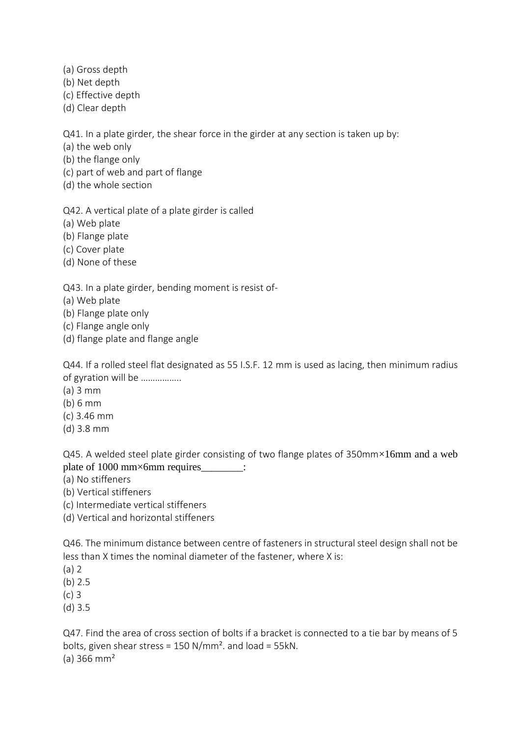- (a) Gross depth
- (b) Net depth
- (c) Effective depth
- (d) Clear depth

Q41. In a plate girder, the shear force in the girder at any section is taken up by:

(a) the web only

(b) the flange only

(c) part of web and part of flange

(d) the whole section

Q42. A vertical plate of a plate girder is called

(a) Web plate

(b) Flange plate

(c) Cover plate

(d) None of these

# Q43. In a plate girder, bending moment is resist of-

- (a) Web plate
- (b) Flange plate only
- (c) Flange angle only
- (d) flange plate and flange angle

Q44. If a rolled steel flat designated as 55 I.S.F. 12 mm is used as lacing, then minimum radius of gyration will be ……………..

- $(a)$  3 mm
- (b) 6 mm
- (c) 3.46 mm
- (d) 3.8 mm

Q45. A welded steel plate girder consisting of two flange plates of 350mm×16mm and a web plate of 1000 mm×6mm requires\_\_\_\_\_\_\_:

- (a) No stiffeners
- (b) Vertical stiffeners

(c) Intermediate vertical stiffeners

(d) Vertical and horizontal stiffeners

Q46. The minimum distance between centre of fasteners in structural steel design shall not be less than X times the nominal diameter of the fastener, where X is:

(a) 2

(b) 2.5

(c) 3

(d) 3.5

Q47. Find the area of cross section of bolts if a bracket is connected to a tie bar by means of 5 bolts, given shear stress = 150 N/mm². and load = 55kN.  $(a)$  366 mm<sup>2</sup>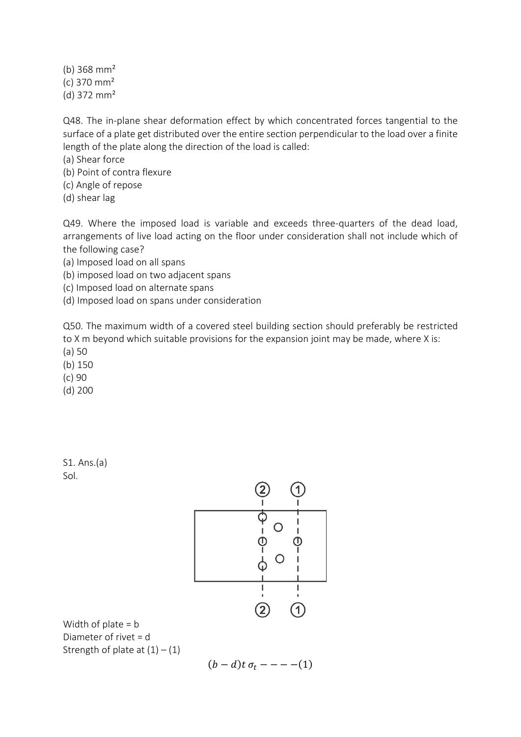(b)  $368 \text{ mm}^2$ (c) 370 mm² (d) 372 mm²

Q48. The in-plane shear deformation effect by which concentrated forces tangential to the surface of a plate get distributed over the entire section perpendicular to the load over a finite length of the plate along the direction of the load is called:

(a) Shear force

- (b) Point of contra flexure
- (c) Angle of repose
- (d) shear lag

Q49. Where the imposed load is variable and exceeds three-quarters of the dead load, arrangements of live load acting on the floor under consideration shall not include which of the following case?

(a) Imposed load on all spans

(b) imposed load on two adjacent spans

(c) Imposed load on alternate spans

(d) Imposed load on spans under consideration

Q50. The maximum width of a covered steel building section should preferably be restricted to X m beyond which suitable provisions for the expansion joint may be made, where X is:

- (a) 50
- (b) 150
- (c) 90

(d) 200

S1. Ans.(a) Sol.



Width of plate  $= b$ Diameter of rivet = d Strength of plate at  $(1) - (1)$ 

$$
(b-d)t\,\sigma_t---(1)
$$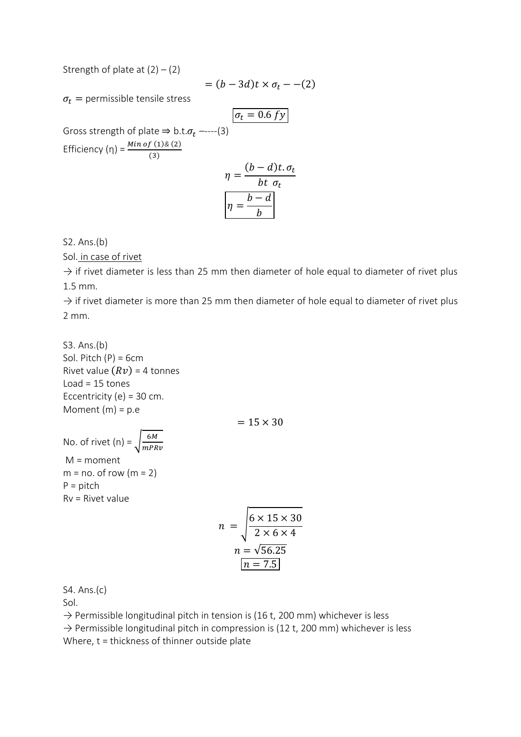Strength of plate at  $(2) - (2)$ 

$$
= (b - 3d)t \times \sigma_t - (2)
$$

 $\sigma_t$  = permissible tensile stress

Gross strength of plate 
$$
\Rightarrow
$$
 b.t. $\sigma_t$  ----(3)  
\nEfficiency (η) =  $\frac{Min of (1) & (2)}{(3)}$   
\n
$$
\eta = \frac{(b-d)t. \sigma_t}{bt \sigma_t}
$$
\n
$$
\eta = \frac{b-d}{b}
$$

S2. Ans.(b)

Sol. in case of rivet

 $\rightarrow$  if rivet diameter is less than 25 mm then diameter of hole equal to diameter of rivet plus 1.5 mm.

 $\rightarrow$  if rivet diameter is more than 25 mm then diameter of hole equal to diameter of rivet plus 2 mm.

S3. Ans.(b) Sol. Pitch  $(P) = 6cm$ Rivet value  $(Rv)$  = 4 tonnes Load =  $15$  tones Eccentricity (e) =  $30$  cm. Moment  $(m) = p.e$ 

 $= 15 \times 30$ 

No. of rivet (n) =  $\frac{6M}{mDR}$  $mPRv$ M = moment  $m = no$ . of row  $(m = 2)$  $P =$  pitch Rv = Rivet value

$$
n = \sqrt{\frac{6 \times 15 \times 30}{2 \times 6 \times 4}}
$$

$$
n = \sqrt{56.25}
$$

$$
n = 7.5
$$

S4. Ans.(c)

Sol.

 $\rightarrow$  Permissible longitudinal pitch in tension is (16 t, 200 mm) whichever is less

 $\rightarrow$  Permissible longitudinal pitch in compression is (12 t, 200 mm) whichever is less Where, t = thickness of thinner outside plate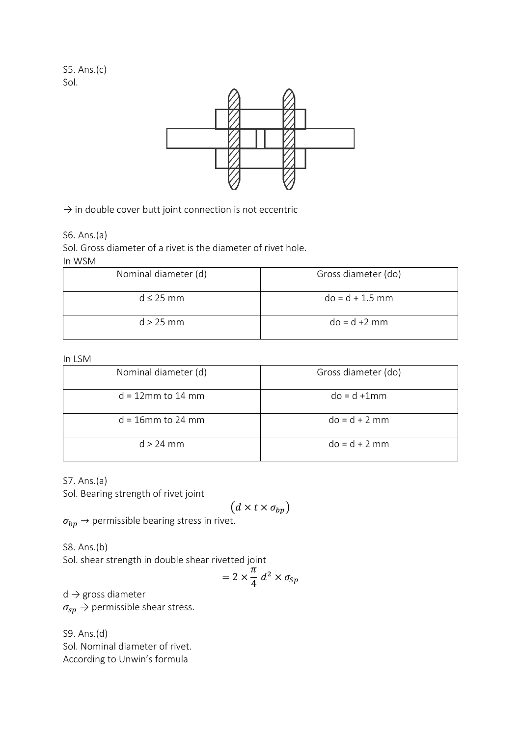S5. Ans.(c) Sol.



 $\rightarrow$  in double cover butt joint connection is not eccentric

S6. Ans.(a)

Sol. Gross diameter of a rivet is the diameter of rivet hole.

#### In WSM

| Nominal diameter (d) | Gross diameter (do) |
|----------------------|---------------------|
| $d < 25$ mm          | $do = d + 1.5$ mm   |
| $d > 25$ mm          | $do = d + 2 mm$     |

#### In LSM

| Nominal diameter (d) | Gross diameter (do) |
|----------------------|---------------------|
| $d = 12$ mm to 14 mm | $do = d + 1mm$      |
| $d = 16$ mm to 24 mm | $do = d + 2 mm$     |
| $d > 24$ mm          | $do = d + 2 mm$     |

S7. Ans.(a)

Sol. Bearing strength of rivet joint

$$
(d \times t \times \sigma_{bp})
$$

 $\sigma_{bp} \rightarrow$  permissible bearing stress in rivet.

S8. Ans.(b) Sol. shear strength in double shear rivetted joint

$$
= 2 \times \frac{\pi}{4} d^2 \times \sigma_{Sp}
$$

 $d \rightarrow$  gross diameter

 $\sigma_{sp} \rightarrow$  permissible shear stress.

S9. Ans.(d) Sol. Nominal diameter of rivet. According to Unwin's formula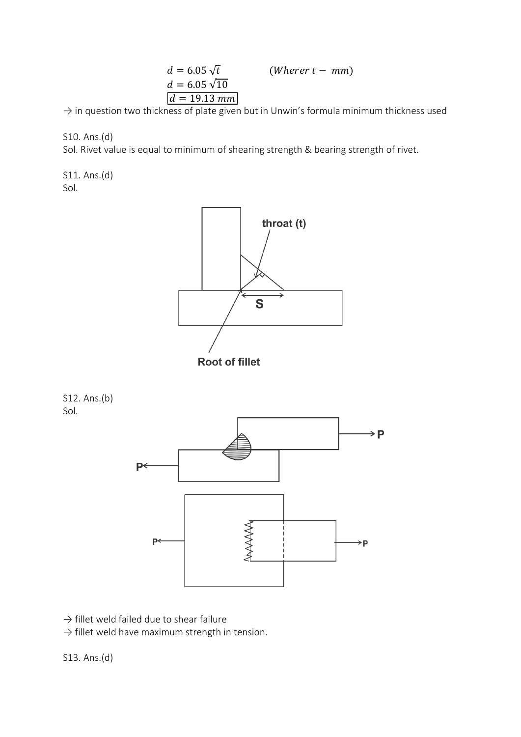$$
d = 6.05\sqrt{t}
$$
 (Where  $t - mm$ )  
\n
$$
d = 6.05\sqrt{10}
$$
  
\n
$$
d = 19.13 \text{ mm}
$$

 $\rightarrow$  in question two thickness of plate given but in Unwin's formula minimum thickness used

S10. Ans.(d)

Sol. Rivet value is equal to minimum of shearing strength & bearing strength of rivet.

S11. Ans.(d) Sol.



S12. Ans.(b) Sol.



 $\rightarrow$  fillet weld failed due to shear failure

 $\rightarrow$  fillet weld have maximum strength in tension.

S13. Ans.(d)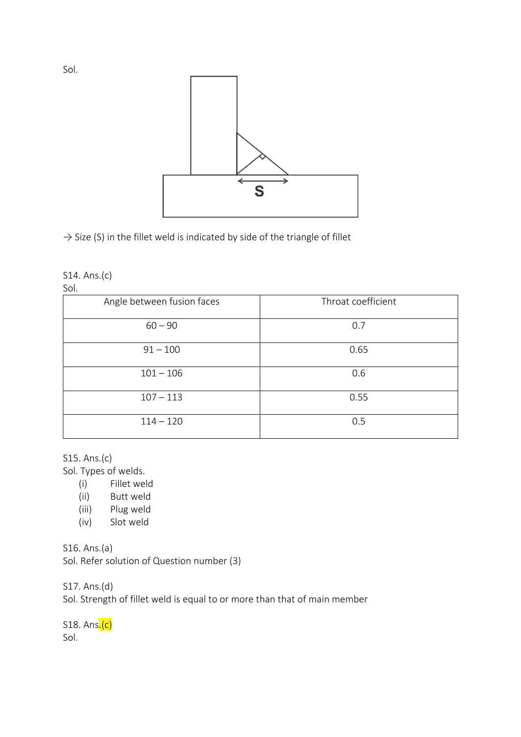

 $\rightarrow$  Size (S) in the fillet weld is indicated by side of the triangle of fillet

#### S14. Ans.(c)

Sol.

| ---                        |                    |
|----------------------------|--------------------|
| Angle between fusion faces | Throat coefficient |
| $60 - 90$                  | 0.7                |
| $91 - 100$                 | 0.65               |
| $101 - 106$                | 0.6                |
| $107 - 113$                | 0.55               |
| $114 - 120$                | 0.5                |

#### S15. Ans.(c)

Sol. Types of welds.

- (i) Fillet weld
- (ii) Butt weld
- (iii) Plug weld
- (iv) Slot weld

S16. Ans.(a) Sol. Refer solution of Question number (3)

S17. Ans.(d)

Sol. Strength of fillet weld is equal to or more than that of main member

S18. Ans<mark>.(c)</mark> Sol.

Sol.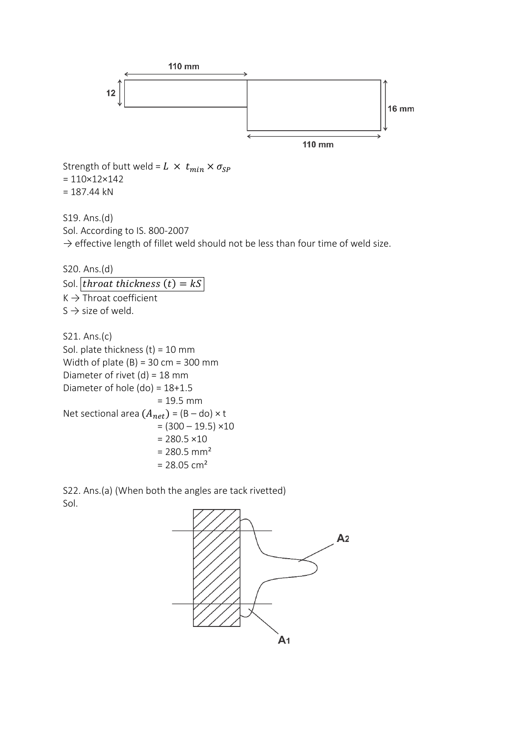

Strength of butt weld =  $L \times t_{min} \times \sigma_{SP}$  $= 110 \times 12 \times 142$  $= 187.44$  kN

S19. Ans.(d) Sol. According to IS. 800-2007  $\rightarrow$  effective length of fillet weld should not be less than four time of weld size.

S20. Ans.(d) Sol. *throat thickness*  $(t) = kS$  $K \rightarrow$  Throat coefficient  $S \rightarrow$  size of weld.

S21. Ans.(c) Sol. plate thickness (t) = 10 mm Width of plate  $(B) = 30$  cm = 300 mm Diameter of rivet  $(d) = 18$  mm Diameter of hole (do) = 18+1.5 = 19.5 mm Net sectional area  $(A_{net}) = (B - do) \times t$  $= (300 - 19.5) \times 10$  $= 280.5 \times 10$  $= 280.5$  mm<sup>2</sup>  $= 28.05$  cm<sup>2</sup>

S22. Ans.(a) (When both the angles are tack rivetted) Sol.

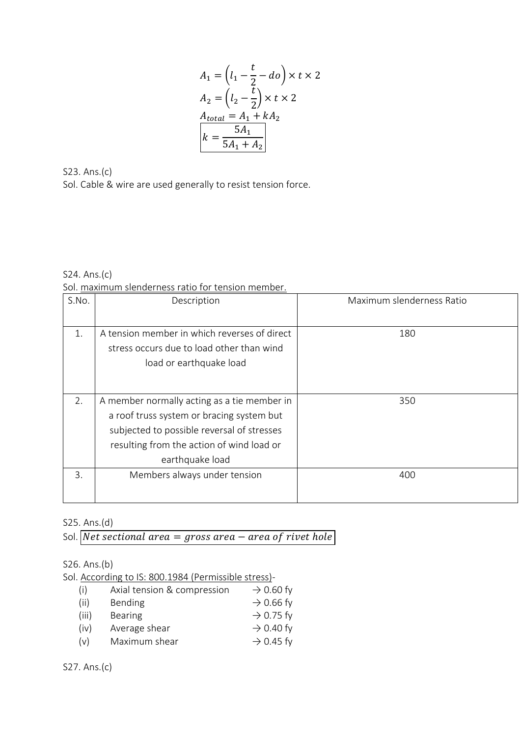$$
A_1 = \left(l_1 - \frac{t}{2} - do\right) \times t \times 2
$$
  
\n
$$
A_2 = \left(l_2 - \frac{t}{2}\right) \times t \times 2
$$
  
\n
$$
A_{total} = A_1 + kA_2
$$
  
\n
$$
k = \frac{5A_1}{5A_1 + A_2}
$$

S23. Ans.(c) Sol. Cable & wire are used generally to resist tension force.

S24. Ans.(c) Sol. maximum slenderness ratio for tension member.

| S.No. | Description                                  | Maximum slenderness Ratio |
|-------|----------------------------------------------|---------------------------|
|       |                                              |                           |
| 1.    | A tension member in which reverses of direct | 180                       |
|       | stress occurs due to load other than wind    |                           |
|       | load or earthquake load                      |                           |
|       |                                              |                           |
|       |                                              |                           |
| 2.    | A member normally acting as a tie member in  | 350                       |
|       | a roof truss system or bracing system but    |                           |
|       | subjected to possible reversal of stresses   |                           |
|       | resulting from the action of wind load or    |                           |
|       | earthquake load                              |                           |
| 3.    | Members always under tension                 | 400                       |
|       |                                              |                           |
|       |                                              |                           |

## S25. Ans.(d)

Sol. Net sectional area  $=$  gross area  $-$  area of rivet hole

S26. Ans.(b)

Sol. According to IS: 800.1984 (Permissible stress)-

| (i)   | Axial tension & compression | $\rightarrow$ 0.60 fy |
|-------|-----------------------------|-----------------------|
| (ii)  | <b>Bending</b>              | $\rightarrow$ 0.66 fy |
| (iii) | <b>Bearing</b>              | $\rightarrow$ 0.75 fy |
| (iv)  | Average shear               | $\rightarrow$ 0.40 fy |
| (v)   | Maximum shear               | $\rightarrow$ 0.45 fy |

S27. Ans.(c)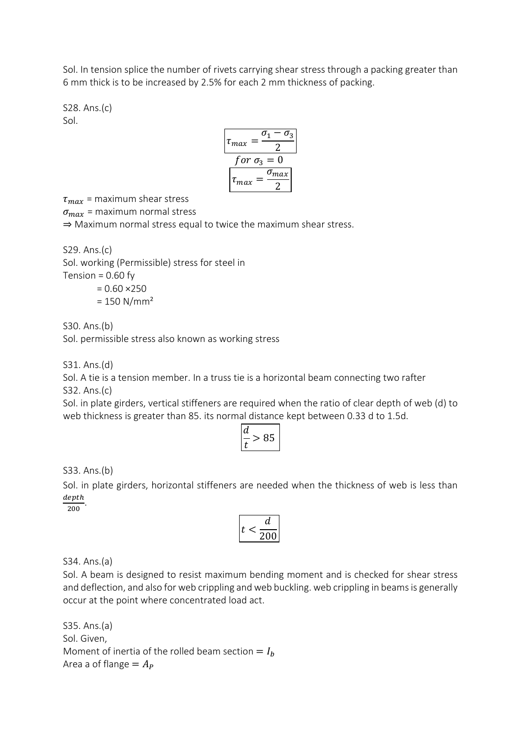Sol. In tension splice the number of rivets carrying shear stress through a packing greater than 6 mm thick is to be increased by 2.5% for each 2 mm thickness of packing.

S28. Ans.(c) Sol.

$$
\tau_{max} = \frac{\sigma_1 - \sigma_3}{2}
$$
  
for  $\sigma_3 = 0$   

$$
\tau_{max} = \frac{\sigma_{max}}{2}
$$

 $\tau_{max}$  = maximum shear stress

 $\sigma_{max}$  = maximum normal stress

⇒ Maximum normal stress equal to twice the maximum shear stress.

S29. Ans.(c) Sol. working (Permissible) stress for steel in Tension =  $0.60$  fy

> $= 0.60 \times 250$  $= 150$  N/mm<sup>2</sup>

S30. Ans.(b)

Sol. permissible stress also known as working stress

S31. Ans.(d)

Sol. A tie is a tension member. In a truss tie is a horizontal beam connecting two rafter S32. Ans.(c)

Sol. in plate girders, vertical stiffeners are required when the ratio of clear depth of web (d) to web thickness is greater than 85. its normal distance kept between 0.33 d to 1.5d.

| ◡<br>۰ |  |
|--------|--|
|--------|--|

S33. Ans.(b)

Sol. in plate girders, horizontal stiffeners are needed when the thickness of web is less than  $\frac{depth}{200}$ .

200

$$
t<\frac{d}{200}
$$

S34. Ans.(a)

Sol. A beam is designed to resist maximum bending moment and is checked for shear stress and deflection, and also for web crippling and web buckling. web crippling in beams is generally occur at the point where concentrated load act.

S35. Ans.(a) Sol. Given, Moment of inertia of the rolled beam section  $= I_b$ Area a of flange  $= A_p$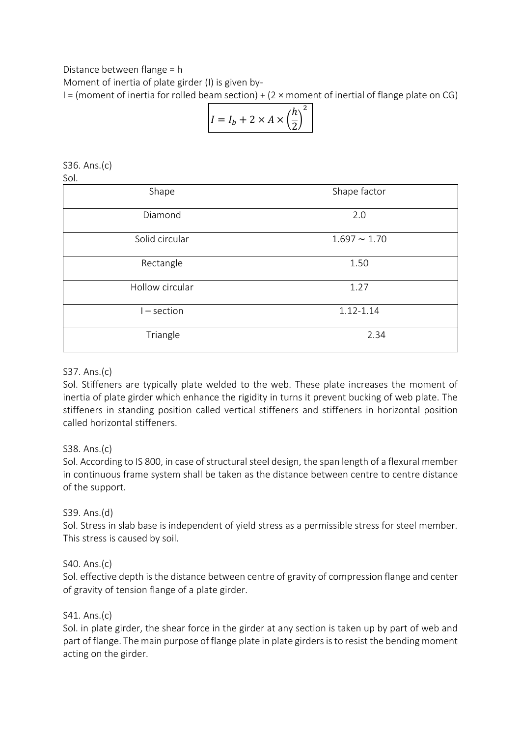Distance between flange = h

Moment of inertia of plate girder (I) is given by-

 $I =$  (moment of inertia for rolled beam section) + (2  $\times$  moment of inertial of flange plate on CG)

$$
I = I_b + 2 \times A \times \left(\frac{h}{2}\right)^2
$$

S36. Ans.(c) Sol.

| Shape           | Shape factor      |  |
|-----------------|-------------------|--|
| Diamond         | 2.0               |  |
| Solid circular  | $1.697 \sim 1.70$ |  |
| Rectangle       | 1.50              |  |
| Hollow circular | 1.27              |  |
| $I - section$   | 1.12-1.14         |  |
| Triangle        | 2.34              |  |

## S37. Ans.(c)

Sol. Stiffeners are typically plate welded to the web. These plate increases the moment of inertia of plate girder which enhance the rigidity in turns it prevent bucking of web plate. The stiffeners in standing position called vertical stiffeners and stiffeners in horizontal position called horizontal stiffeners.

## S38. Ans.(c)

Sol. According to IS 800, in case of structural steel design, the span length of a flexural member in continuous frame system shall be taken as the distance between centre to centre distance of the support.

## S39. Ans.(d)

Sol. Stress in slab base is independent of yield stress as a permissible stress for steel member. This stress is caused by soil.

## S40. Ans.(c)

Sol. effective depth is the distance between centre of gravity of compression flange and center of gravity of tension flange of a plate girder.

## S41. Ans.(c)

Sol. in plate girder, the shear force in the girder at any section is taken up by part of web and part of flange. The main purpose of flange plate in plate girders is to resist the bending moment acting on the girder.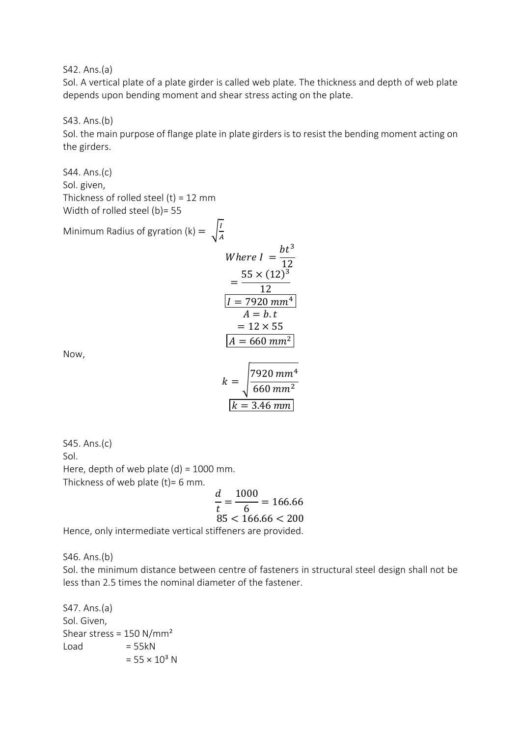S42. Ans.(a)

Sol. A vertical plate of a plate girder is called web plate. The thickness and depth of web plate depends upon bending moment and shear stress acting on the plate.

S43. Ans.(b)

Sol. the main purpose of flange plate in plate girders is to resist the bending moment acting on the girders.

S44. Ans.(c) Sol. given, Thickness of rolled steel  $(t) = 12$  mm Width of rolled steel (b)= 55

Minimum Radius of gyration (k) =  $\int_{0}^{1}$ 

$$
M
$$
  
\nWhere  $I = \frac{bt^3}{12}$   
\n
$$
= \frac{55 \times (12)^3}{12}
$$
  
\n
$$
I = 7920 \text{ mm}^4
$$
  
\n
$$
A = b \text{ t}
$$
  
\n
$$
= 12 \times 55
$$
  
\n
$$
A = 660 \text{ mm}^2
$$

 $7920$   $mm<sup>4</sup>$  $660$   $mm<sup>2</sup>$ 

 $k = 3.46 \, mm$ 

 $k = |$ 

Now,

S45. Ans.(c) Sol. Here, depth of web plate  $(d) = 1000$  mm. Thickness of web plate  $(t)$ = 6 mm.

$$
\frac{d}{t} = \frac{1000}{6} = 166.66
$$
  
85 < 166.66 < 200

Hence, only intermediate vertical stiffeners are provided.

S46. Ans.(b)

Sol. the minimum distance between centre of fasteners in structural steel design shall not be less than 2.5 times the nominal diameter of the fastener.

S47. Ans.(a) Sol. Given, Shear stress = 150 N/mm²  $Load = 55kN$  $= 55 \times 10^3$  N